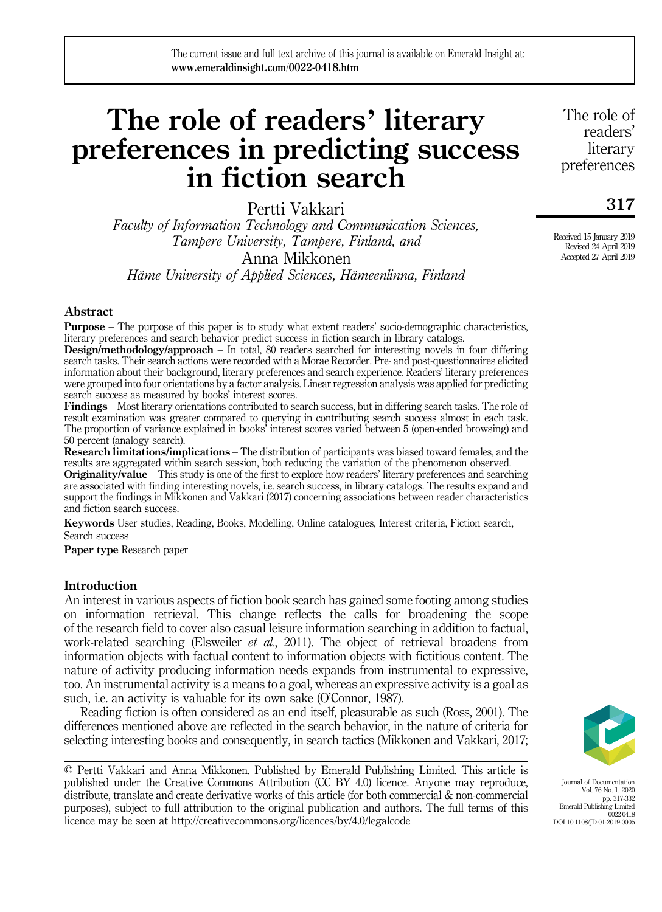# The role of readers' literary preferences in predicting success in fiction search

Pertti Vakkari

Faculty of Information Technology and Communication Sciences, Tampere University, Tampere, Finland, and Anna Mikkonen

Häme University of Applied Sciences, Hämeenlinna, Finland

# Abstract

Purpose – The purpose of this paper is to study what extent readers' socio-demographic characteristics, literary preferences and search behavior predict success in fiction search in library catalogs.

Design/methodology/approach – In total, 80 readers searched for interesting novels in four differing search tasks. Their search actions were recorded with a Morae Recorder. Pre- and post-questionnaires elicited information about their background, literary preferences and search experience. Readers' literary preferences were grouped into four orientations by a factor analysis. Linear regression analysis was applied for predicting search success as measured by books' interest scores.

Findings – Most literary orientations contributed to search success, but in differing search tasks. The role of result examination was greater compared to querying in contributing search success almost in each task. The proportion of variance explained in books' interest scores varied between 5 (open-ended browsing) and 50 percent (analogy search).

Research limitations/implications – The distribution of participants was biased toward females, and the results are aggregated within search session, both reducing the variation of the phenomenon observed.

Originality/value – This study is one of the first to explore how readers' literary preferences and searching are associated with finding interesting novels, i.e. search success, in library catalogs. The results expand and support the findings in Mikkonen and Vakkari (2017) concerning associations between reader characteristics and fiction search success.

Keywords User studies, Reading, Books, Modelling, Online catalogues, Interest criteria, Fiction search, Search success

Paper type Research paper

# **Introduction**

An interest in various aspects of fiction book search has gained some footing among studies on information retrieval. This change reflects the calls for broadening the scope of the research field to cover also casual leisure information searching in addition to factual, work-related searching (Elsweiler *et al.*, 2011). The object of retrieval broadens from information objects with factual content to information objects with fictitious content. The nature of activity producing information needs expands from instrumental to expressive, too. An instrumental activity is a means to a goal, whereas an expressive activity is a goal as such, i.e. an activity is valuable for its own sake (O'Connor, 1987).

Reading fiction is often considered as an end itself, pleasurable as such (Ross, 2001). The differences mentioned above are reflected in the search behavior, in the nature of criteria for selecting interesting books and consequently, in search tactics (Mikkonen and Vakkari, 2017;

<sup>©</sup> Pertti Vakkari and Anna Mikkonen. Published by Emerald Publishing Limited. This article is published under the Creative Commons Attribution (CC BY 4.0) licence. Anyone may reproduce, distribute, translate and create derivative works of this article (for both commercial & non-commercial purposes), subject to full attribution to the original publication and authors. The full terms of this licence may be seen at<http://creativecommons.org/licences/by/4.0/legalcode>



Journal of Documentation Vol. 76 No. 1, 2020 pp. 317-332 Emerald Publishing Limited  $0022-0418$ DOI 10.1108/JD-01-2019-0005

The role of readers' literary preferences

317

Received 15 January 2019 Revised 24 April 2019 Accepted 27 April 2019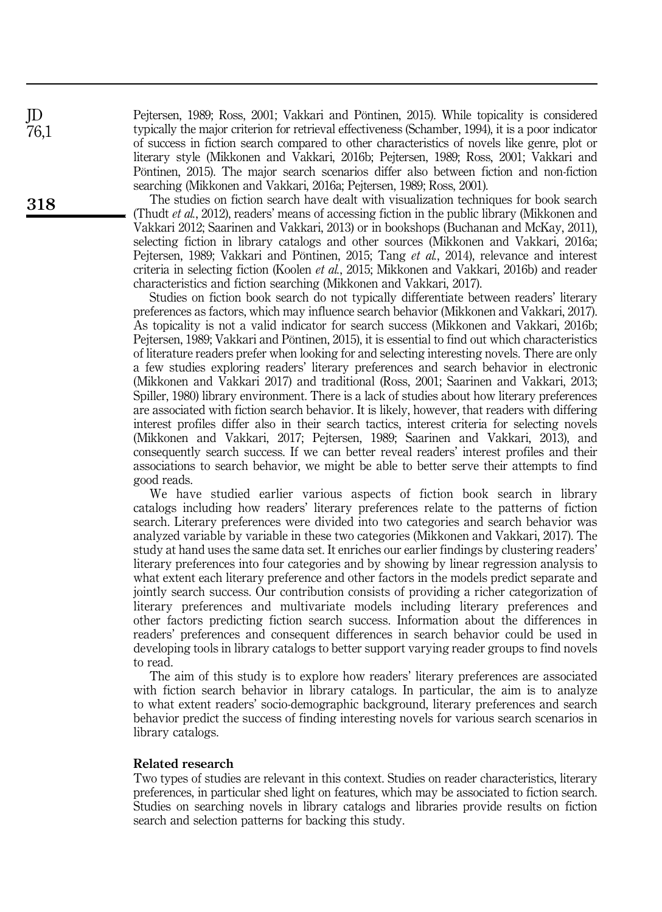Pejtersen, 1989; Ross, 2001; Vakkari and Pöntinen, 2015). While topicality is considered typically the major criterion for retrieval effectiveness (Schamber, 1994), it is a poor indicator of success in fiction search compared to other characteristics of novels like genre, plot or literary style (Mikkonen and Vakkari, 2016b; Pejtersen, 1989; Ross, 2001; Vakkari and Pöntinen, 2015). The major search scenarios differ also between fiction and non-fiction searching (Mikkonen and Vakkari, 2016a; Pejtersen, 1989; Ross, 2001).

The studies on fiction search have dealt with visualization techniques for book search (Thudt et al., 2012), readers' means of accessing fiction in the public library (Mikkonen and Vakkari 2012; Saarinen and Vakkari, 2013) or in bookshops (Buchanan and McKay, 2011), selecting fiction in library catalogs and other sources (Mikkonen and Vakkari, 2016a; Pejtersen, 1989; Vakkari and Pöntinen, 2015; Tang et al., 2014), relevance and interest criteria in selecting fiction (Koolen et al., 2015; Mikkonen and Vakkari, 2016b) and reader characteristics and fiction searching (Mikkonen and Vakkari, 2017).

Studies on fiction book search do not typically differentiate between readers' literary preferences as factors, which may influence search behavior (Mikkonen and Vakkari, 2017). As topicality is not a valid indicator for search success (Mikkonen and Vakkari, 2016b; Pejtersen, 1989; Vakkari and Pöntinen, 2015), it is essential to find out which characteristics of literature readers prefer when looking for and selecting interesting novels. There are only a few studies exploring readers' literary preferences and search behavior in electronic (Mikkonen and Vakkari 2017) and traditional (Ross, 2001; Saarinen and Vakkari, 2013; Spiller, 1980) library environment. There is a lack of studies about how literary preferences are associated with fiction search behavior. It is likely, however, that readers with differing interest profiles differ also in their search tactics, interest criteria for selecting novels (Mikkonen and Vakkari, 2017; Pejtersen, 1989; Saarinen and Vakkari, 2013), and consequently search success. If we can better reveal readers' interest profiles and their associations to search behavior, we might be able to better serve their attempts to find good reads.

We have studied earlier various aspects of fiction book search in library catalogs including how readers' literary preferences relate to the patterns of fiction search. Literary preferences were divided into two categories and search behavior was analyzed variable by variable in these two categories (Mikkonen and Vakkari, 2017). The study at hand uses the same data set. It enriches our earlier findings by clustering readers' literary preferences into four categories and by showing by linear regression analysis to what extent each literary preference and other factors in the models predict separate and jointly search success. Our contribution consists of providing a richer categorization of literary preferences and multivariate models including literary preferences and other factors predicting fiction search success. Information about the differences in readers' preferences and consequent differences in search behavior could be used in developing tools in library catalogs to better support varying reader groups to find novels to read.

The aim of this study is to explore how readers' literary preferences are associated with fiction search behavior in library catalogs. In particular, the aim is to analyze to what extent readers' socio-demographic background, literary preferences and search behavior predict the success of finding interesting novels for various search scenarios in library catalogs.

# Related research

Two types of studies are relevant in this context. Studies on reader characteristics, literary preferences, in particular shed light on features, which may be associated to fiction search. Studies on searching novels in library catalogs and libraries provide results on fiction search and selection patterns for backing this study.

JD 76,1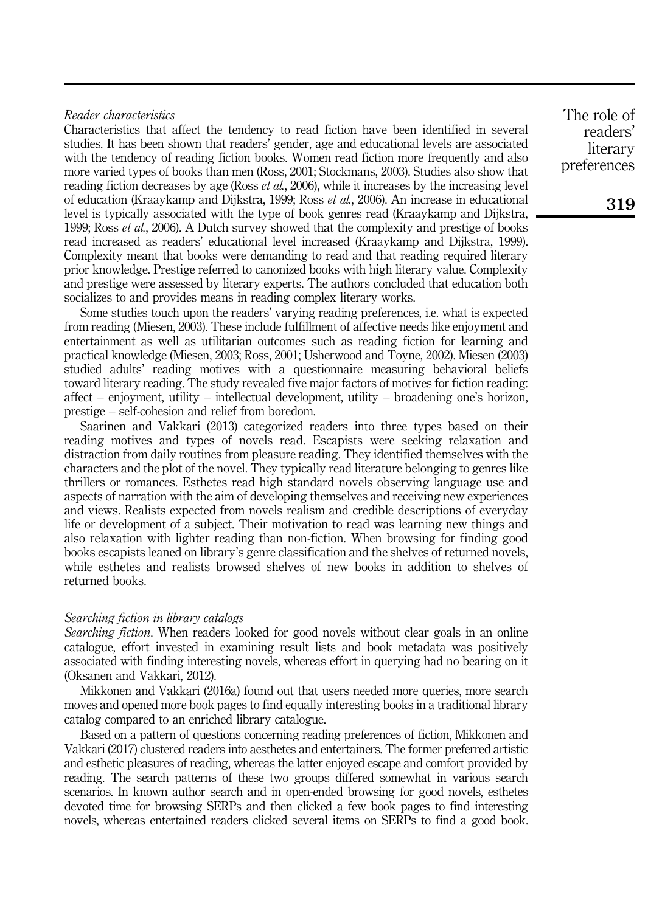# Reader characteristics

Characteristics that affect the tendency to read fiction have been identified in several studies. It has been shown that readers' gender, age and educational levels are associated with the tendency of reading fiction books. Women read fiction more frequently and also more varied types of books than men (Ross, 2001; Stockmans, 2003). Studies also show that reading fiction decreases by age (Ross *et al.*, 2006), while it increases by the increasing level of education (Kraaykamp and Dijkstra, 1999; Ross et al., 2006). An increase in educational level is typically associated with the type of book genres read (Kraaykamp and Dijkstra, 1999; Ross *et al.*, 2006). A Dutch survey showed that the complexity and prestige of books read increased as readers' educational level increased (Kraaykamp and Dijkstra, 1999). Complexity meant that books were demanding to read and that reading required literary prior knowledge. Prestige referred to canonized books with high literary value. Complexity and prestige were assessed by literary experts. The authors concluded that education both socializes to and provides means in reading complex literary works.

Some studies touch upon the readers' varying reading preferences, i.e. what is expected from reading (Miesen, 2003). These include fulfillment of affective needs like enjoyment and entertainment as well as utilitarian outcomes such as reading fiction for learning and practical knowledge (Miesen, 2003; Ross, 2001; Usherwood and Toyne, 2002). Miesen (2003) studied adults' reading motives with a questionnaire measuring behavioral beliefs toward literary reading. The study revealed five major factors of motives for fiction reading: affect – enjoyment, utility – intellectual development, utility – broadening one's horizon, prestige – self-cohesion and relief from boredom.

Saarinen and Vakkari (2013) categorized readers into three types based on their reading motives and types of novels read. Escapists were seeking relaxation and distraction from daily routines from pleasure reading. They identified themselves with the characters and the plot of the novel. They typically read literature belonging to genres like thrillers or romances. Esthetes read high standard novels observing language use and aspects of narration with the aim of developing themselves and receiving new experiences and views. Realists expected from novels realism and credible descriptions of everyday life or development of a subject. Their motivation to read was learning new things and also relaxation with lighter reading than non-fiction. When browsing for finding good books escapists leaned on library's genre classification and the shelves of returned novels, while esthetes and realists browsed shelves of new books in addition to shelves of returned books.

#### Searching fiction in library catalogs

Searching fiction. When readers looked for good novels without clear goals in an online catalogue, effort invested in examining result lists and book metadata was positively associated with finding interesting novels, whereas effort in querying had no bearing on it (Oksanen and Vakkari, 2012).

Mikkonen and Vakkari (2016a) found out that users needed more queries, more search moves and opened more book pages to find equally interesting books in a traditional library catalog compared to an enriched library catalogue.

Based on a pattern of questions concerning reading preferences of fiction, Mikkonen and Vakkari (2017) clustered readers into aesthetes and entertainers. The former preferred artistic and esthetic pleasures of reading, whereas the latter enjoyed escape and comfort provided by reading. The search patterns of these two groups differed somewhat in various search scenarios. In known author search and in open-ended browsing for good novels, esthetes devoted time for browsing SERPs and then clicked a few book pages to find interesting novels, whereas entertained readers clicked several items on SERPs to find a good book.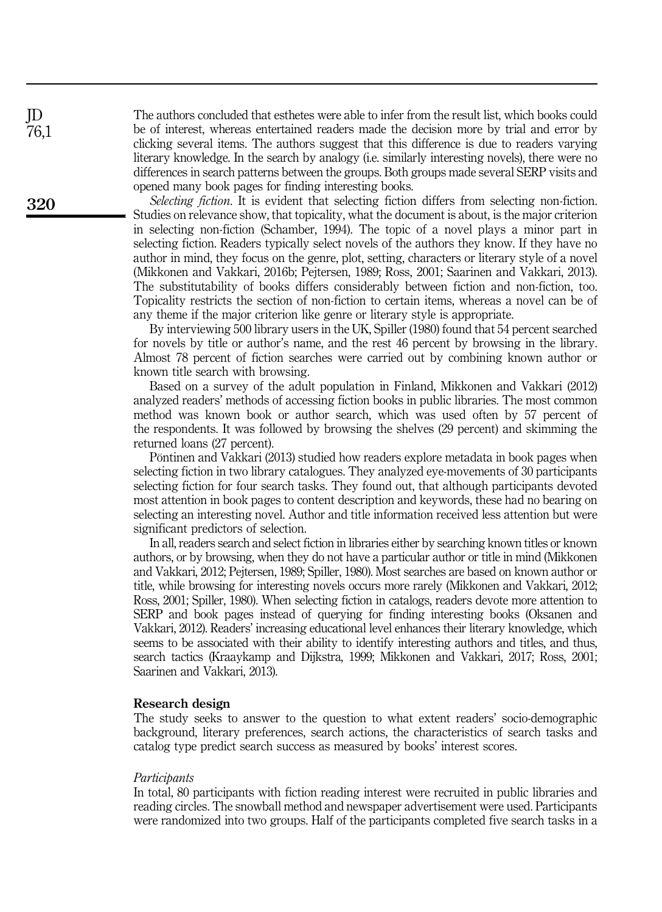The authors concluded that esthetes were able to infer from the result list, which books could be of interest, whereas entertained readers made the decision more by trial and error by clicking several items. The authors suggest that this difference is due to readers varying literary knowledge. In the search by analogy (i.e. similarly interesting novels), there were no differences in search patterns between the groups. Both groups made several SERP visits and opened many book pages for finding interesting books.

Selecting fiction. It is evident that selecting fiction differs from selecting non-fiction. Studies on relevance show, that topicality, what the document is about, is the major criterion in selecting non-fiction (Schamber, 1994). The topic of a novel plays a minor part in selecting fiction. Readers typically select novels of the authors they know. If they have no author in mind, they focus on the genre, plot, setting, characters or literary style of a novel (Mikkonen and Vakkari, 2016b; Pejtersen, 1989; Ross, 2001; Saarinen and Vakkari, 2013). The substitutability of books differs considerably between fiction and non-fiction, too. Topicality restricts the section of non-fiction to certain items, whereas a novel can be of any theme if the major criterion like genre or literary style is appropriate.

By interviewing 500 library users in the UK, Spiller (1980) found that 54 percent searched for novels by title or author's name, and the rest 46 percent by browsing in the library. Almost 78 percent of fiction searches were carried out by combining known author or known title search with browsing.

Based on a survey of the adult population in Finland, Mikkonen and Vakkari (2012) analyzed readers' methods of accessing fiction books in public libraries. The most common method was known book or author search, which was used often by 57 percent of the respondents. It was followed by browsing the shelves (29 percent) and skimming the returned loans (27 percent).

Pöntinen and Vakkari (2013) studied how readers explore metadata in book pages when selecting fiction in two library catalogues. They analyzed eye-movements of 30 participants selecting fiction for four search tasks. They found out, that although participants devoted most attention in book pages to content description and keywords, these had no bearing on selecting an interesting novel. Author and title information received less attention but were significant predictors of selection.

In all, readers search and select fiction in libraries either by searching known titles or known authors, or by browsing, when they do not have a particular author or title in mind (Mikkonen and Vakkari, 2012; Pejtersen, 1989; Spiller, 1980). Most searches are based on known author or title, while browsing for interesting novels occurs more rarely (Mikkonen and Vakkari, 2012; Ross, 2001; Spiller, 1980). When selecting fiction in catalogs, readers devote more attention to SERP and book pages instead of querying for finding interesting books (Oksanen and Vakkari, 2012). Readers' increasing educational level enhances their literary knowledge, which seems to be associated with their ability to identify interesting authors and titles, and thus, search tactics (Kraaykamp and Dijkstra, 1999; Mikkonen and Vakkari, 2017; Ross, 2001; Saarinen and Vakkari, 2013).

#### Research design

The study seeks to answer to the question to what extent readers' socio-demographic background, literary preferences, search actions, the characteristics of search tasks and catalog type predict search success as measured by books' interest scores.

#### **Participants**

In total, 80 participants with fiction reading interest were recruited in public libraries and reading circles. The snowball method and newspaper advertisement were used. Participants were randomized into two groups. Half of the participants completed five search tasks in a

320

JD 76,1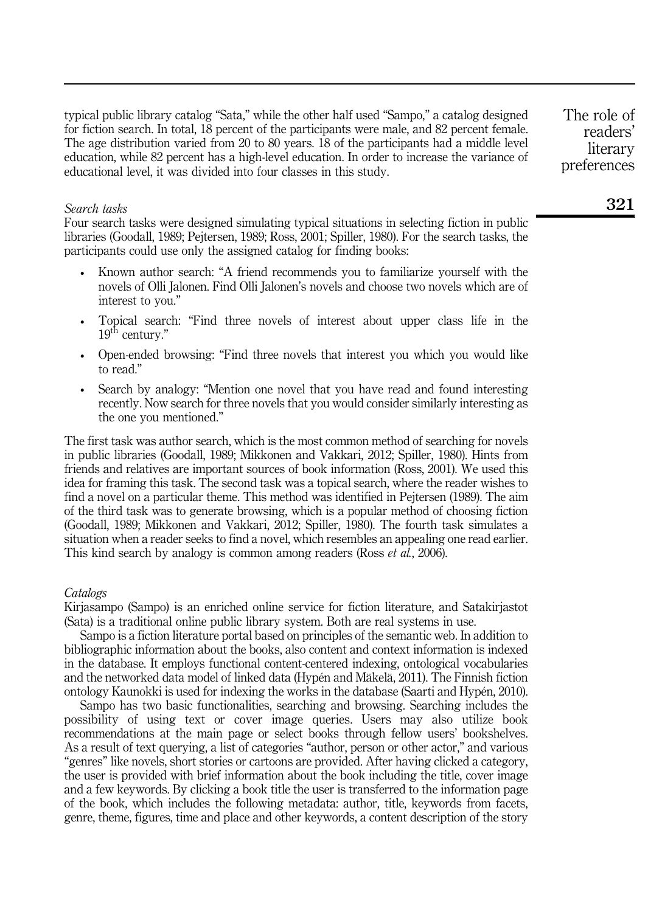typical public library catalog "Sata," while the other half used "Sampo," a catalog designed for fiction search. In total, 18 percent of the participants were male, and 82 percent female. The age distribution varied from 20 to 80 years. 18 of the participants had a middle level education, while 82 percent has a high-level education. In order to increase the variance of educational level, it was divided into four classes in this study.

#### Search tasks

Four search tasks were designed simulating typical situations in selecting fiction in public libraries (Goodall, 1989; Pejtersen, 1989; Ross, 2001; Spiller, 1980). For the search tasks, the participants could use only the assigned catalog for finding books:

- Known author search: "A friend recommends you to familiarize yourself with the novels of Olli Jalonen. Find Olli Jalonen's novels and choose two novels which are of interest to you."
- Topical search: "Find three novels of interest about upper class life in the  $19^{th}$  century."
- Open-ended browsing: "Find three novels that interest you which you would like to read."
- Search by analogy: "Mention one novel that you have read and found interesting recently. Now search for three novels that you would consider similarly interesting as the one you mentioned."

The first task was author search, which is the most common method of searching for novels in public libraries (Goodall, 1989; Mikkonen and Vakkari, 2012; Spiller, 1980). Hints from friends and relatives are important sources of book information (Ross, 2001). We used this idea for framing this task. The second task was a topical search, where the reader wishes to find a novel on a particular theme. This method was identified in Pejtersen (1989). The aim of the third task was to generate browsing, which is a popular method of choosing fiction (Goodall, 1989; Mikkonen and Vakkari, 2012; Spiller, 1980). The fourth task simulates a situation when a reader seeks to find a novel, which resembles an appealing one read earlier. This kind search by analogy is common among readers (Ross *et al.*, 2006).

## **Catalogs**

Kirjasampo (Sampo) is an enriched online service for fiction literature, and Satakirjastot (Sata) is a traditional online public library system. Both are real systems in use.

Sampo is a fiction literature portal based on principles of the semantic web. In addition to bibliographic information about the books, also content and context information is indexed in the database. It employs functional content-centered indexing, ontological vocabularies and the networked data model of linked data (Hypén and Mäkelä, 2011). The Finnish fiction ontology Kaunokki is used for indexing the works in the database (Saarti and Hypén, 2010).

Sampo has two basic functionalities, searching and browsing. Searching includes the possibility of using text or cover image queries. Users may also utilize book recommendations at the main page or select books through fellow users' bookshelves. As a result of text querying, a list of categories "author, person or other actor," and various "genres" like novels, short stories or cartoons are provided. After having clicked a category, the user is provided with brief information about the book including the title, cover image and a few keywords. By clicking a book title the user is transferred to the information page of the book, which includes the following metadata: author, title, keywords from facets, genre, theme, figures, time and place and other keywords, a content description of the story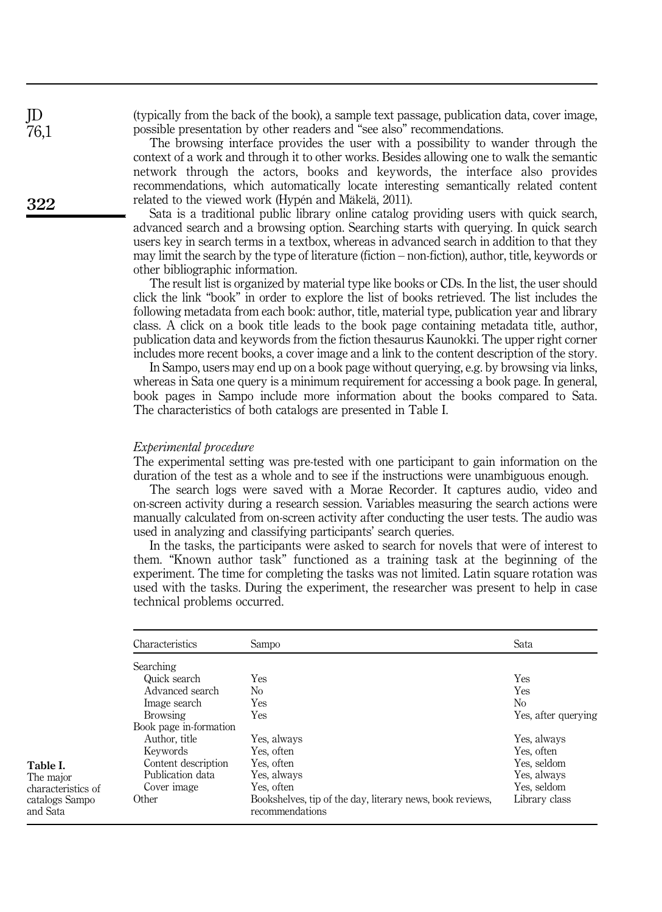(typically from the back of the book), a sample text passage, publication data, cover image, possible presentation by other readers and "see also" recommendations.

The browsing interface provides the user with a possibility to wander through the context of a work and through it to other works. Besides allowing one to walk the semantic network through the actors, books and keywords, the interface also provides recommendations, which automatically locate interesting semantically related content related to the viewed work (Hypén and Mäkelä, 2011).

Sata is a traditional public library online catalog providing users with quick search, advanced search and a browsing option. Searching starts with querying. In quick search users key in search terms in a textbox, whereas in advanced search in addition to that they may limit the search by the type of literature (fiction – non-fiction), author, title, keywords or other bibliographic information.

The result list is organized by material type like books or CDs. In the list, the user should click the link "book" in order to explore the list of books retrieved. The list includes the following metadata from each book: author, title, material type, publication year and library class. A click on a book title leads to the book page containing metadata title, author, publication data and keywords from the fiction thesaurus Kaunokki. The upper right corner includes more recent books, a cover image and a link to the content description of the story.

In Sampo, users may end up on a book page without querying, e.g. by browsing via links, whereas in Sata one query is a minimum requirement for accessing a book page. In general, book pages in Sampo include more information about the books compared to Sata. The characteristics of both catalogs are presented in Table I.

#### Experimental procedure

The experimental setting was pre-tested with one participant to gain information on the duration of the test as a whole and to see if the instructions were unambiguous enough.

The search logs were saved with a Morae Recorder. It captures audio, video and on-screen activity during a research session. Variables measuring the search actions were manually calculated from on-screen activity after conducting the user tests. The audio was used in analyzing and classifying participants' search queries.

In the tasks, the participants were asked to search for novels that were of interest to them. "Known author task" functioned as a training task at the beginning of the experiment. The time for completing the tasks was not limited. Latin square rotation was used with the tasks. During the experiment, the researcher was present to help in case technical problems occurred.

| Characteristics        | Sampo                                                                        | Sata                |
|------------------------|------------------------------------------------------------------------------|---------------------|
| Searching              |                                                                              |                     |
| Quick search           | Yes                                                                          | Yes                 |
| Advanced search        | No                                                                           | Yes                 |
| Image search           | <b>Yes</b>                                                                   | No                  |
| <b>Browsing</b>        | Yes                                                                          | Yes, after querying |
| Book page in-formation |                                                                              |                     |
| Author, title          | Yes, always                                                                  | Yes, always         |
| Keywords               | Yes, often                                                                   | Yes, often          |
| Content description    | Yes, often                                                                   | Yes, seldom         |
| Publication data       | Yes, always                                                                  | Yes, always         |
| Cover image            | Yes, often                                                                   | Yes, seldom         |
| Other                  | Bookshelves, tip of the day, literary news, book reviews,<br>recommendations | Library class       |

322

JD 76,1

#### Table I. The major

characteristics of catalogs Sampo and Sata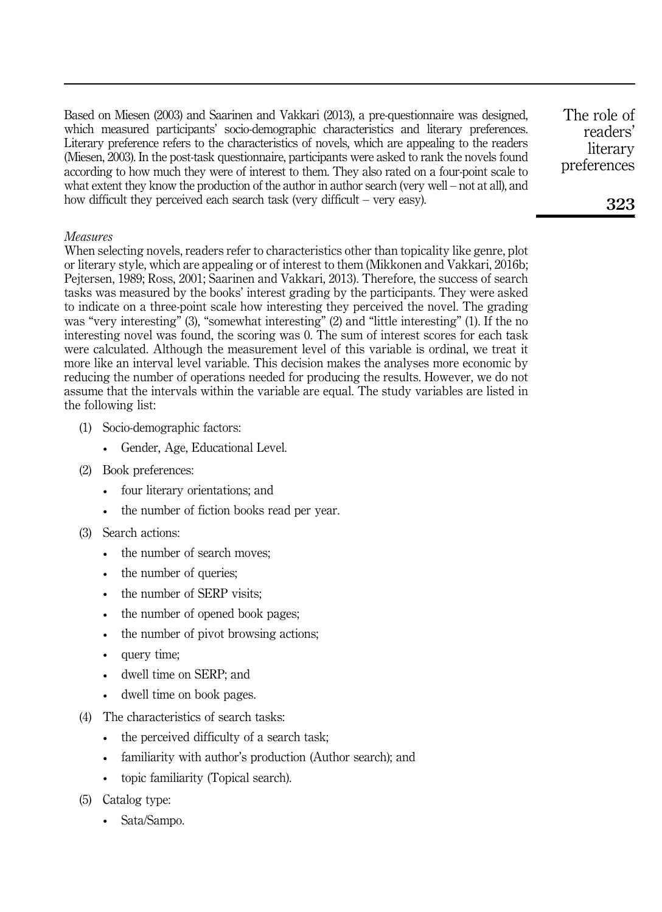Based on Miesen (2003) and Saarinen and Vakkari (2013), a pre-questionnaire was designed, which measured participants' socio-demographic characteristics and literary preferences. Literary preference refers to the characteristics of novels, which are appealing to the readers (Miesen, 2003). In the post-task questionnaire, participants were asked to rank the novels found according to how much they were of interest to them. They also rated on a four-point scale to what extent they know the production of the author in author search (very well – not at all), and how difficult they perceived each search task (very difficult – very easy).

# Measures

When selecting novels, readers refer to characteristics other than topicality like genre, plot or literary style, which are appealing or of interest to them (Mikkonen and Vakkari, 2016b; Pejtersen, 1989; Ross, 2001; Saarinen and Vakkari, 2013). Therefore, the success of search tasks was measured by the books' interest grading by the participants. They were asked to indicate on a three-point scale how interesting they perceived the novel. The grading was "very interesting" (3), "somewhat interesting" (2) and "little interesting" (1). If the no interesting novel was found, the scoring was 0. The sum of interest scores for each task were calculated. Although the measurement level of this variable is ordinal, we treat it more like an interval level variable. This decision makes the analyses more economic by reducing the number of operations needed for producing the results. However, we do not assume that the intervals within the variable are equal. The study variables are listed in the following list:

- (1) Socio-demographic factors:
	- Gender, Age, Educational Level.
- (2) Book preferences:
	- four literary orientations; and
	- the number of fiction books read per year.
- (3) Search actions:
	- the number of search moves:
	- the number of queries:
	- the number of SERP visits:
	- the number of opened book pages;
	- the number of pivot browsing actions;
	- query time;
	- dwell time on SERP; and
	- dwell time on book pages.
- (4) The characteristics of search tasks:
	- the perceived difficulty of a search task;
	- familiarity with author's production (Author search); and
	- topic familiarity (Topical search).
- (5) Catalog type:
	- Sata/Sampo.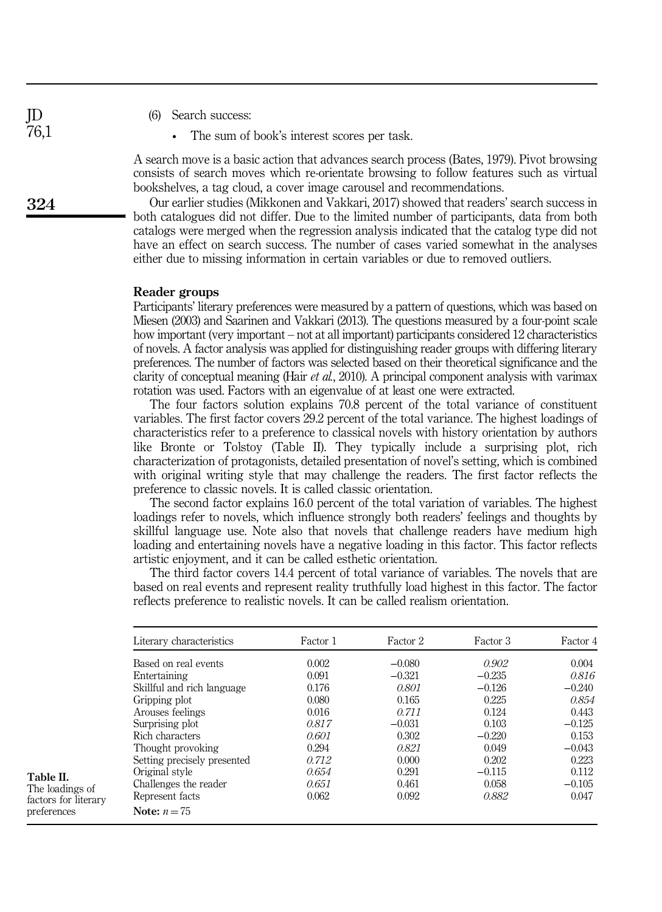- (6) Search success:
	- The sum of book's interest scores per task.

A search move is a basic action that advances search process (Bates, 1979). Pivot browsing consists of search moves which re-orientate browsing to follow features such as virtual bookshelves, a tag cloud, a cover image carousel and recommendations.

Our earlier studies (Mikkonen and Vakkari, 2017) showed that readers' search success in both catalogues did not differ. Due to the limited number of participants, data from both catalogs were merged when the regression analysis indicated that the catalog type did not have an effect on search success. The number of cases varied somewhat in the analyses either due to missing information in certain variables or due to removed outliers.

#### Reader groups

Participants' literary preferences were measured by a pattern of questions, which was based on Miesen (2003) and Saarinen and Vakkari (2013). The questions measured by a four-point scale how important (very important – not at all important) participants considered 12 characteristics of novels. A factor analysis was applied for distinguishing reader groups with differing literary preferences. The number of factors was selected based on their theoretical significance and the clarity of conceptual meaning (Hair et al., 2010). A principal component analysis with varimax rotation was used. Factors with an eigenvalue of at least one were extracted.

The four factors solution explains 70.8 percent of the total variance of constituent variables. The first factor covers 29.2 percent of the total variance. The highest loadings of characteristics refer to a preference to classical novels with history orientation by authors like Bronte or Tolstoy (Table II). They typically include a surprising plot, rich characterization of protagonists, detailed presentation of novel's setting, which is combined with original writing style that may challenge the readers. The first factor reflects the preference to classic novels. It is called classic orientation.

The second factor explains 16.0 percent of the total variation of variables. The highest loadings refer to novels, which influence strongly both readers' feelings and thoughts by skillful language use. Note also that novels that challenge readers have medium high loading and entertaining novels have a negative loading in this factor. This factor reflects artistic enjoyment, and it can be called esthetic orientation.

The third factor covers 14.4 percent of total variance of variables. The novels that are based on real events and represent reality truthfully load highest in this factor. The factor reflects preference to realistic novels. It can be called realism orientation.

| Literary characteristics    | Factor 1 | Factor 2 | Factor 3 | Factor 4 |
|-----------------------------|----------|----------|----------|----------|
| Based on real events        | 0.002    | $-0.080$ | 0.902    | 0.004    |
| Entertaining                | 0.091    | $-0.321$ | $-0.235$ | 0.816    |
| Skillful and rich language  | 0.176    | 0.801    | $-0.126$ | $-0.240$ |
| Gripping plot               | 0.080    | 0.165    | 0.225    | 0.854    |
| Arouses feelings            | 0.016    | 0.711    | 0.124    | 0.443    |
| Surprising plot             | 0.817    | $-0.031$ | 0.103    | $-0.125$ |
| Rich characters             | 0.601    | 0.302    | $-0.220$ | 0.153    |
| Thought provoking           | 0.294    | 0.821    | 0.049    | $-0.043$ |
| Setting precisely presented | 0.712    | 0.000    | 0.202    | 0.223    |
| Original style              | 0.654    | 0.291    | $-0.115$ | 0.112    |
| Challenges the reader       | 0.651    | 0.461    | 0.058    | $-0.105$ |
| Represent facts             | 0.062    | 0.092    | 0.882    | 0.047    |
| Note: $n = 75$              |          |          |          |          |

Table II. The loadings of factors for literary

preferences

JD 76,1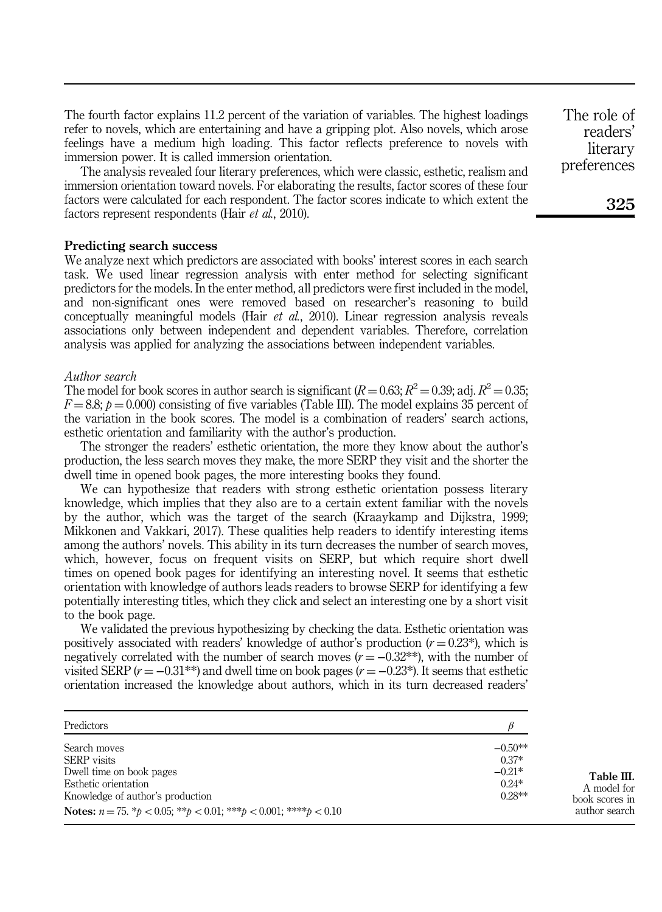The fourth factor explains 11.2 percent of the variation of variables. The highest loadings refer to novels, which are entertaining and have a gripping plot. Also novels, which arose feelings have a medium high loading. This factor reflects preference to novels with immersion power. It is called immersion orientation.

The analysis revealed four literary preferences, which were classic, esthetic, realism and immersion orientation toward novels. For elaborating the results, factor scores of these four factors were calculated for each respondent. The factor scores indicate to which extent the factors represent respondents (Hair *et al.*, 2010).

#### Predicting search success

We analyze next which predictors are associated with books' interest scores in each search task. We used linear regression analysis with enter method for selecting significant predictors for the models. In the enter method, all predictors were first included in the model, and non-significant ones were removed based on researcher's reasoning to build conceptually meaningful models (Hair et al., 2010). Linear regression analysis reveals associations only between independent and dependent variables. Therefore, correlation analysis was applied for analyzing the associations between independent variables.

#### Author search

The model for book scores in author search is significant  $(R = 0.63; R^2 = 0.39; \text{adj. } R^2 = 0.35;$  $F = 8.8$ ;  $p = 0.000$ ) consisting of five variables (Table III). The model explains 35 percent of the variation in the book scores. The model is a combination of readers' search actions, esthetic orientation and familiarity with the author's production.

The stronger the readers' esthetic orientation, the more they know about the author's production, the less search moves they make, the more SERP they visit and the shorter the dwell time in opened book pages, the more interesting books they found.

We can hypothesize that readers with strong esthetic orientation possess literary knowledge, which implies that they also are to a certain extent familiar with the novels by the author, which was the target of the search (Kraaykamp and Dijkstra, 1999; Mikkonen and Vakkari, 2017). These qualities help readers to identify interesting items among the authors' novels. This ability in its turn decreases the number of search moves, which, however, focus on frequent visits on SERP, but which require short dwell times on opened book pages for identifying an interesting novel. It seems that esthetic orientation with knowledge of authors leads readers to browse SERP for identifying a few potentially interesting titles, which they click and select an interesting one by a short visit to the book page.

We validated the previous hypothesizing by checking the data. Esthetic orientation was positively associated with readers' knowledge of author's production  $(r = 0.23^*)$ , which is negatively correlated with the number of search moves ( $r = -0.32$ \*\*), with the number of visited SERP  $(r = -0.31^{**})$  and dwell time on book pages  $(r = -0.23^{*})$ . It seems that esthetic orientation increased the knowledge about authors, which in its turn decreased readers'

| Predictors                                                                                                          |           |
|---------------------------------------------------------------------------------------------------------------------|-----------|
| Search moves                                                                                                        | $-0.50**$ |
| <b>SERP</b> visits                                                                                                  | $0.37*$   |
| Dwell time on book pages                                                                                            | $-0.21*$  |
| Esthetic orientation                                                                                                | $0.24*$   |
| Knowledge of author's production                                                                                    | $0.28**$  |
| <b>Notes:</b> $n = 75$ . $\frac{k}{b} < 0.05$ ; $\frac{k}{b} < 0.01$ ; $\frac{k}{b} < 0.001$ ; $\frac{k}{b} < 0.10$ |           |

readers' literary preferences

The role of

325

Table III. A model for book scores in author search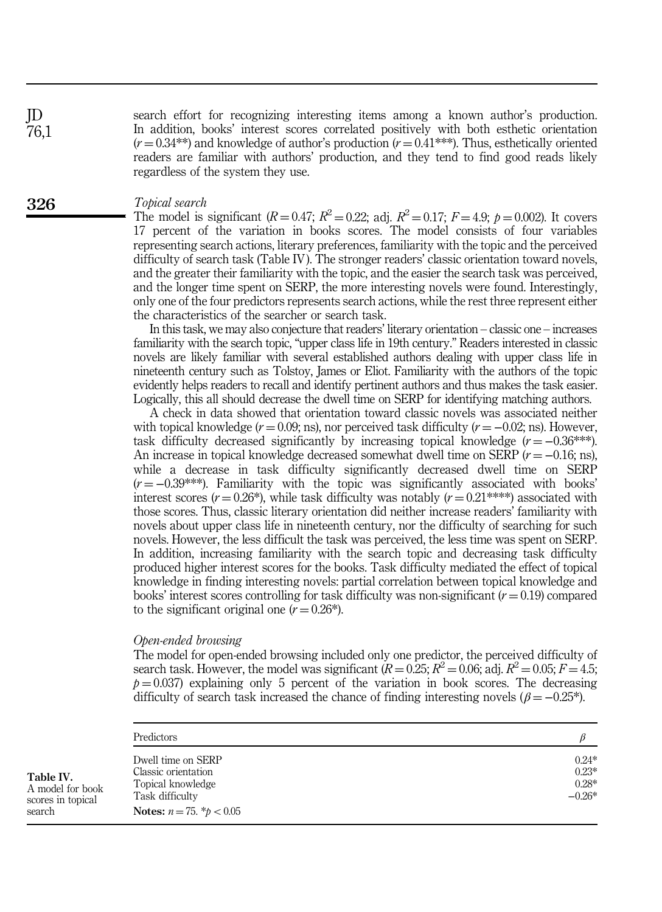search effort for recognizing interesting items among a known author's production. In addition, books' interest scores correlated positively with both esthetic orientation  $(r = 0.34^{**})$  and knowledge of author's production  $(r = 0.41^{***})$ . Thus, esthetically oriented readers are familiar with authors' production, and they tend to find good reads likely regardless of the system they use.

#### Topical search

The model is significant  $(R = 0.47; R^2 = 0.22;$  adj.  $R^2 = 0.17; F = 4.9; p = 0.002$ . It covers 17 percent of the variation in books scores. The model consists of four variables representing search actions, literary preferences, familiarity with the topic and the perceived difficulty of search task (Table IV). The stronger readers' classic orientation toward novels, and the greater their familiarity with the topic, and the easier the search task was perceived, and the longer time spent on SERP, the more interesting novels were found. Interestingly, only one of the four predictors represents search actions, while the rest three represent either the characteristics of the searcher or search task.

In this task, we may also conjecture that readers' literary orientation – classic one – increases familiarity with the search topic, "upper class life in 19th century." Readers interested in classic novels are likely familiar with several established authors dealing with upper class life in nineteenth century such as Tolstoy, James or Eliot. Familiarity with the authors of the topic evidently helps readers to recall and identify pertinent authors and thus makes the task easier. Logically, this all should decrease the dwell time on SERP for identifying matching authors.

A check in data showed that orientation toward classic novels was associated neither with topical knowledge ( $r = 0.09$ ; ns), nor perceived task difficulty ( $r = -0.02$ ; ns). However, task difficulty decreased significantly by increasing topical knowledge  $(r = -0.36^{***})$ . An increase in topical knowledge decreased somewhat dwell time on SERP  $(r = -0.16; \text{ns})$ , while a decrease in task difficulty significantly decreased dwell time on SERP  $(r = -0.39$ <sup>\*\*\*</sup>). Familiarity with the topic was significantly associated with books' interest scores ( $r = 0.26$ <sup>\*</sup>), while task difficulty was notably ( $r = 0.21$ <sup>\*\*\*\*</sup>) associated with those scores. Thus, classic literary orientation did neither increase readers' familiarity with novels about upper class life in nineteenth century, nor the difficulty of searching for such novels. However, the less difficult the task was perceived, the less time was spent on SERP. In addition, increasing familiarity with the search topic and decreasing task difficulty produced higher interest scores for the books. Task difficulty mediated the effect of topical knowledge in finding interesting novels: partial correlation between topical knowledge and books' interest scores controlling for task difficulty was non-significant ( $r = 0.19$ ) compared to the significant original one  $(r = 0.26^*)$ .

#### Open-ended browsing

The model for open-ended browsing included only one predictor, the perceived difficulty of search task. However, the model was significant ( $R = 0.25$ ;  $R^2 = 0.06$ ; adj.  $R^2 = 0.05$ ;  $F = 4.5$ ;  $p = 0.037$ ) explaining only 5 percent of the variation in book scores. The decreasing difficulty of search task increased the chance of finding interesting novels ( $\beta = -0.25^*$ ).

|                                                              | Predictors                                                                                                          |                                           |
|--------------------------------------------------------------|---------------------------------------------------------------------------------------------------------------------|-------------------------------------------|
| Table IV.<br>A model for book<br>scores in topical<br>search | Dwell time on SERP<br>Classic orientation<br>Topical knowledge<br>Task difficulty<br>Notes: $n = 75$ . * $p < 0.05$ | $0.24*$<br>$0.23*$<br>$0.28*$<br>$-0.26*$ |

326

JD 76,1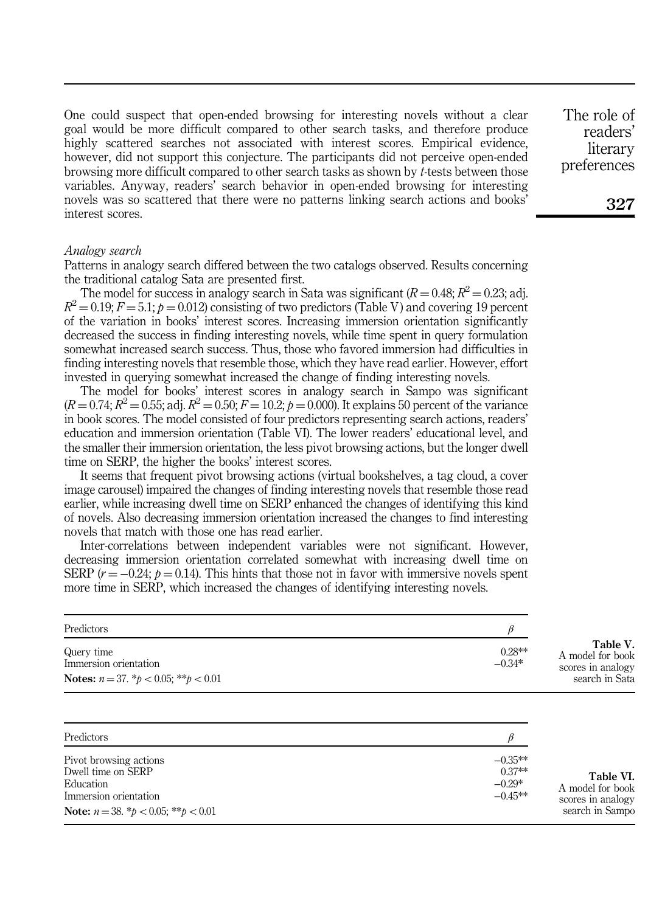One could suspect that open-ended browsing for interesting novels without a clear goal would be more difficult compared to other search tasks, and therefore produce highly scattered searches not associated with interest scores. Empirical evidence, however, did not support this conjecture. The participants did not perceive open-ended browsing more difficult compared to other search tasks as shown by t-tests between those variables. Anyway, readers' search behavior in open-ended browsing for interesting novels was so scattered that there were no patterns linking search actions and books' interest scores.

#### Analogy search

Patterns in analogy search differed between the two catalogs observed. Results concerning the traditional catalog Sata are presented first.

The model for success in analogy search in Sata was significant ( $R = 0.48$ ;  $R^2 = 0.23$ ; adj.  $R^2 = 0.19; F = 5.1; p = 0.012$  consisting of two predictors (Table V) and covering 19 percent of the variation in books' interest scores. Increasing immersion orientation significantly decreased the success in finding interesting novels, while time spent in query formulation somewhat increased search success. Thus, those who favored immersion had difficulties in finding interesting novels that resemble those, which they have read earlier. However, effort invested in querying somewhat increased the change of finding interesting novels.

The model for books' interest scores in analogy search in Sampo was significant  $(R = 0.74; R^2 = 0.55; \text{adj. } R^2 = 0.50; F = 10.2; p = 0.000)$ . It explains 50 percent of the variance in book scores. The model consisted of four predictors representing search actions, readers' education and immersion orientation (Table VI). The lower readers' educational level, and the smaller their immersion orientation, the less pivot browsing actions, but the longer dwell time on SERP, the higher the books' interest scores.

It seems that frequent pivot browsing actions (virtual bookshelves, a tag cloud, a cover image carousel) impaired the changes of finding interesting novels that resemble those read earlier, while increasing dwell time on SERP enhanced the changes of identifying this kind of novels. Also decreasing immersion orientation increased the changes to find interesting novels that match with those one has read earlier.

Inter-correlations between independent variables were not significant. However, decreasing immersion orientation correlated somewhat with increasing dwell time on SERP  $(r = -0.24; p = 0.14)$ . This hints that those not in favor with immersive novels spent more time in SERP, which increased the changes of identifying interesting novels.

| $0.28**$<br>$-0.34*$ | Table V.<br>A model for book<br>scores in analogy<br>search in Sata |
|----------------------|---------------------------------------------------------------------|
|                      |                                                                     |

| Predictors                                                                                                                                                |                                                |                                                                       |
|-----------------------------------------------------------------------------------------------------------------------------------------------------------|------------------------------------------------|-----------------------------------------------------------------------|
| Pivot browsing actions<br>Dwell time on SERP<br>Education<br>Immersion orientation<br><b>Note:</b> $n = 38$ . $\frac{k}{b} < 0.05$ ; $\frac{k}{b} < 0.01$ | $-0.35**$<br>$0.37**$<br>$-0.29*$<br>$-0.45**$ | Table VI.<br>A model for book<br>scores in analogy<br>search in Sampo |
|                                                                                                                                                           |                                                |                                                                       |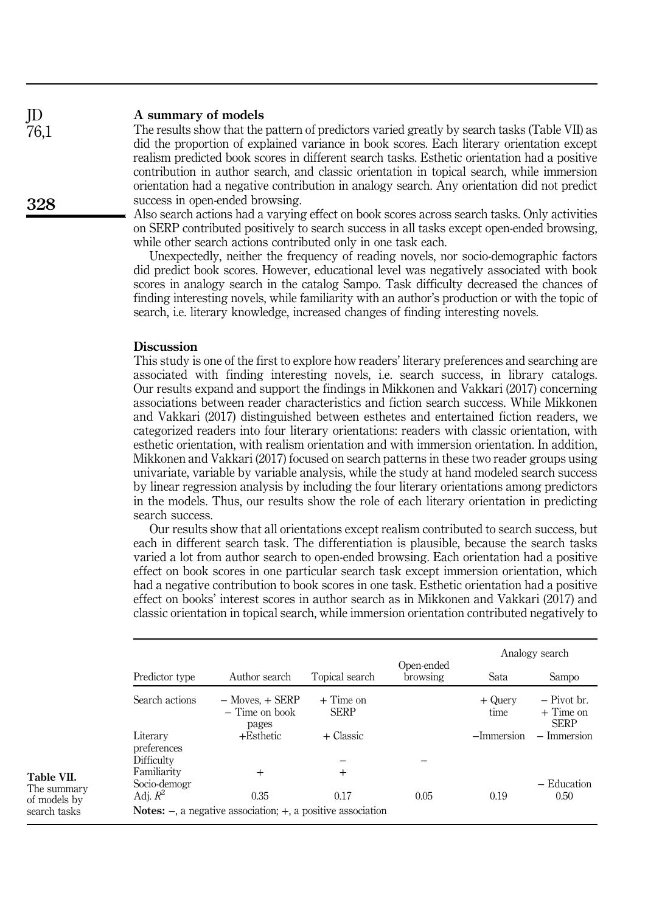#### A summary of models JD

328

76,1

The results show that the pattern of predictors varied greatly by search tasks (Table VII) as did the proportion of explained variance in book scores. Each literary orientation except realism predicted book scores in different search tasks. Esthetic orientation had a positive contribution in author search, and classic orientation in topical search, while immersion orientation had a negative contribution in analogy search. Any orientation did not predict success in open-ended browsing.

Also search actions had a varying effect on book scores across search tasks. Only activities on SERP contributed positively to search success in all tasks except open-ended browsing, while other search actions contributed only in one task each.

Unexpectedly, neither the frequency of reading novels, nor socio-demographic factors did predict book scores. However, educational level was negatively associated with book scores in analogy search in the catalog Sampo. Task difficulty decreased the chances of finding interesting novels, while familiarity with an author's production or with the topic of search, i.e. literary knowledge, increased changes of finding interesting novels.

# **Discussion**

This study is one of the first to explore how readers' literary preferences and searching are associated with finding interesting novels, i.e. search success, in library catalogs. Our results expand and support the findings in Mikkonen and Vakkari (2017) concerning associations between reader characteristics and fiction search success. While Mikkonen and Vakkari (2017) distinguished between esthetes and entertained fiction readers, we categorized readers into four literary orientations: readers with classic orientation, with esthetic orientation, with realism orientation and with immersion orientation. In addition, Mikkonen and Vakkari (2017) focused on search patterns in these two reader groups using univariate, variable by variable analysis, while the study at hand modeled search success by linear regression analysis by including the four literary orientations among predictors in the models. Thus, our results show the role of each literary orientation in predicting search success.

Our results show that all orientations except realism contributed to search success, but each in different search task. The differentiation is plausible, because the search tasks varied a lot from author search to open-ended browsing. Each orientation had a positive effect on book scores in one particular search task except immersion orientation, which had a negative contribution to book scores in one task. Esthetic orientation had a positive effect on books' interest scores in author search as in Mikkonen and Vakkari (2017) and classic orientation in topical search, while immersion orientation contributed negatively to

|                         |                                                                          |                            |                        | Analogy search   |                                             |
|-------------------------|--------------------------------------------------------------------------|----------------------------|------------------------|------------------|---------------------------------------------|
| Predictor type          | Author search                                                            | Topical search             | Open-ended<br>browsing | Sata             | Sampo                                       |
| Search actions          | $-$ Moves, $+$ SERP<br>$-$ Time on book<br>pages                         | $+$ Time on<br><b>SERP</b> |                        | + Query<br>time. | $-$ Pivot br.<br>$+$ Time on<br><b>SERP</b> |
| Literary<br>preferences | $+$ Esthetic                                                             | + Classic                  |                        | -Immersion       | $-$ Immersion                               |
| Difficulty              |                                                                          |                            |                        |                  |                                             |
| Familiarity             | $^{+}$                                                                   | $^{+}$                     |                        |                  |                                             |
| Socio-demogr            |                                                                          |                            |                        |                  | - Education                                 |
| Adj. $R^2$              | 0.35                                                                     | 0.17                       | 0.05                   | 0.19             | 0.50                                        |
|                         | <b>Notes:</b> $-$ , a negative association; $+$ , a positive association |                            |                        |                  |                                             |

Table VII. The summary

of models by search tasks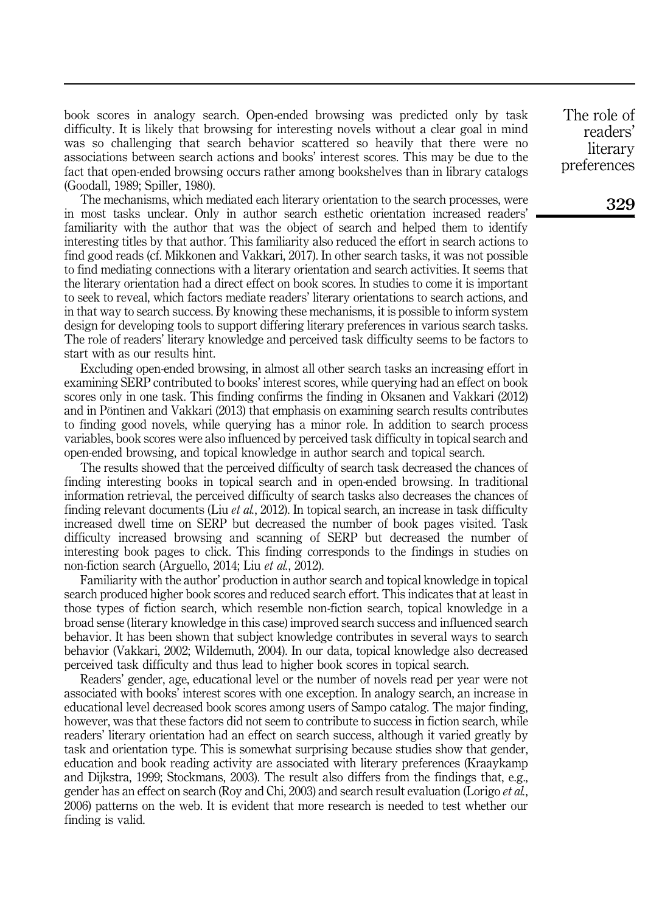book scores in analogy search. Open-ended browsing was predicted only by task difficulty. It is likely that browsing for interesting novels without a clear goal in mind was so challenging that search behavior scattered so heavily that there were no associations between search actions and books' interest scores. This may be due to the fact that open-ended browsing occurs rather among bookshelves than in library catalogs (Goodall, 1989; Spiller, 1980).

The mechanisms, which mediated each literary orientation to the search processes, were in most tasks unclear. Only in author search esthetic orientation increased readers' familiarity with the author that was the object of search and helped them to identify interesting titles by that author. This familiarity also reduced the effort in search actions to find good reads (cf. Mikkonen and Vakkari, 2017). In other search tasks, it was not possible to find mediating connections with a literary orientation and search activities. It seems that the literary orientation had a direct effect on book scores. In studies to come it is important to seek to reveal, which factors mediate readers' literary orientations to search actions, and in that way to search success. By knowing these mechanisms, it is possible to inform system design for developing tools to support differing literary preferences in various search tasks. The role of readers' literary knowledge and perceived task difficulty seems to be factors to start with as our results hint.

Excluding open-ended browsing, in almost all other search tasks an increasing effort in examining SERP contributed to books' interest scores, while querying had an effect on book scores only in one task. This finding confirms the finding in Oksanen and Vakkari (2012) and in Pöntinen and Vakkari (2013) that emphasis on examining search results contributes to finding good novels, while querying has a minor role. In addition to search process variables, book scores were also influenced by perceived task difficulty in topical search and open-ended browsing, and topical knowledge in author search and topical search.

The results showed that the perceived difficulty of search task decreased the chances of finding interesting books in topical search and in open-ended browsing. In traditional information retrieval, the perceived difficulty of search tasks also decreases the chances of finding relevant documents (Liu *et al.*, 2012). In topical search, an increase in task difficulty increased dwell time on SERP but decreased the number of book pages visited. Task difficulty increased browsing and scanning of SERP but decreased the number of interesting book pages to click. This finding corresponds to the findings in studies on non-fiction search (Arguello, 2014; Liu et al., 2012).

Familiarity with the author' production in author search and topical knowledge in topical search produced higher book scores and reduced search effort. This indicates that at least in those types of fiction search, which resemble non-fiction search, topical knowledge in a broad sense (literary knowledge in this case) improved search success and influenced search behavior. It has been shown that subject knowledge contributes in several ways to search behavior (Vakkari, 2002; Wildemuth, 2004). In our data, topical knowledge also decreased perceived task difficulty and thus lead to higher book scores in topical search.

Readers' gender, age, educational level or the number of novels read per year were not associated with books' interest scores with one exception. In analogy search, an increase in educational level decreased book scores among users of Sampo catalog. The major finding, however, was that these factors did not seem to contribute to success in fiction search, while readers' literary orientation had an effect on search success, although it varied greatly by task and orientation type. This is somewhat surprising because studies show that gender, education and book reading activity are associated with literary preferences (Kraaykamp and Dijkstra, 1999; Stockmans, 2003). The result also differs from the findings that, e.g., gender has an effect on search (Roy and Chi, 2003) and search result evaluation (Lorigo *et al.*, 2006) patterns on the web. It is evident that more research is needed to test whether our finding is valid.

The role of readers' literary preferences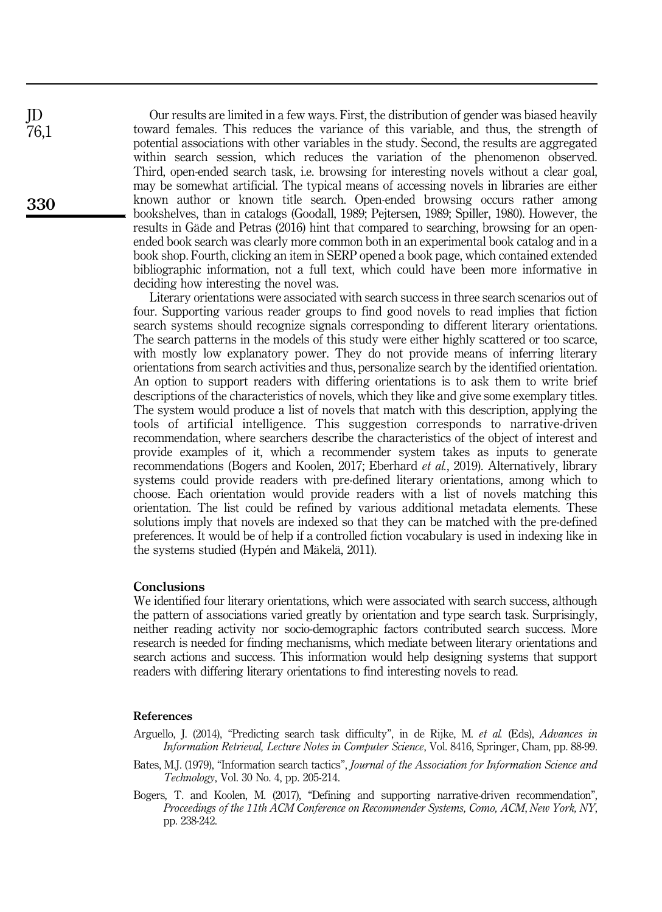Our results are limited in a few ways. First, the distribution of gender was biased heavily toward females. This reduces the variance of this variable, and thus, the strength of potential associations with other variables in the study. Second, the results are aggregated within search session, which reduces the variation of the phenomenon observed. Third, open-ended search task, i.e. browsing for interesting novels without a clear goal, may be somewhat artificial. The typical means of accessing novels in libraries are either known author or known title search. Open-ended browsing occurs rather among bookshelves, than in catalogs (Goodall, 1989; Pejtersen, 1989; Spiller, 1980). However, the results in Gäde and Petras (2016) hint that compared to searching, browsing for an openended book search was clearly more common both in an experimental book catalog and in a book shop. Fourth, clicking an item in SERP opened a book page, which contained extended bibliographic information, not a full text, which could have been more informative in deciding how interesting the novel was.

Literary orientations were associated with search success in three search scenarios out of four. Supporting various reader groups to find good novels to read implies that fiction search systems should recognize signals corresponding to different literary orientations. The search patterns in the models of this study were either highly scattered or too scarce, with mostly low explanatory power. They do not provide means of inferring literary orientations from search activities and thus, personalize search by the identified orientation. An option to support readers with differing orientations is to ask them to write brief descriptions of the characteristics of novels, which they like and give some exemplary titles. The system would produce a list of novels that match with this description, applying the tools of artificial intelligence. This suggestion corresponds to narrative-driven recommendation, where searchers describe the characteristics of the object of interest and provide examples of it, which a recommender system takes as inputs to generate recommendations (Bogers and Koolen, 2017; Eberhard et al., 2019). Alternatively, library systems could provide readers with pre-defined literary orientations, among which to choose. Each orientation would provide readers with a list of novels matching this orientation. The list could be refined by various additional metadata elements. These solutions imply that novels are indexed so that they can be matched with the pre-defined preferences. It would be of help if a controlled fiction vocabulary is used in indexing like in the systems studied (Hypén and Mäkelä, 2011).

### **Conclusions**

We identified four literary orientations, which were associated with search success, although the pattern of associations varied greatly by orientation and type search task. Surprisingly, neither reading activity nor socio-demographic factors contributed search success. More research is needed for finding mechanisms, which mediate between literary orientations and search actions and success. This information would help designing systems that support readers with differing literary orientations to find interesting novels to read.

#### References

- Arguello, J. (2014), "Predicting search task difficulty", in de Rijke, M. et al. (Eds), Advances in Information Retrieval, Lecture Notes in Computer Science, Vol. 8416, Springer, Cham, pp. 88-99.
- Bates, M.J. (1979), "Information search tactics", Journal of the Association for Information Science and Technology, Vol. 30 No. 4, pp. 205-214.
- Bogers, T. and Koolen, M. (2017), "Defining and supporting narrative-driven recommendation", Proceedings of the 11th ACM Conference on Recommender Systems, Como, ACM, New York, NY, pp. 238-242.

JD 76,1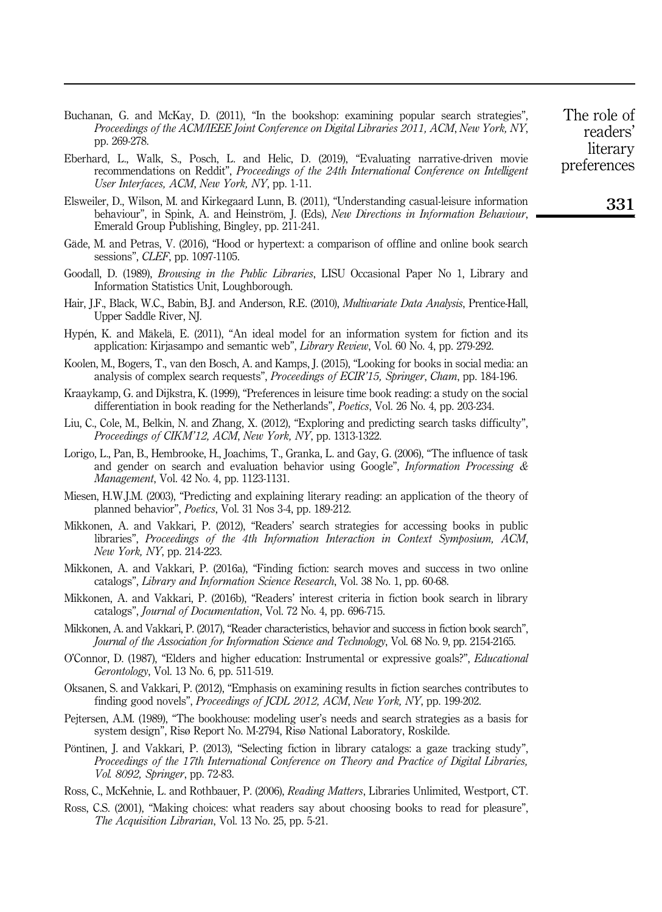Buchanan, G. and McKay, D. (2011), "In the bookshop: examining popular search strategies", Proceedings of the ACM/IEEE Joint Conference on Digital Libraries 2011, ACM, New York, NY, pp. 269-278.

- Eberhard, L., Walk, S., Posch, L. and Helic, D. (2019), "Evaluating narrative-driven movie recommendations on Reddit", *Proceedings of the 24th International Conference on Intelligent* User Interfaces, ACM, New York, NY, pp. 1-11.
- Elsweiler, D., Wilson, M. and Kirkegaard Lunn, B. (2011), "Understanding casual-leisure information behaviour", in Spink, A. and Heinström, J. (Eds), New Directions in Information Behaviour, Emerald Group Publishing, Bingley, pp. 211-241.
- Gäde, M. and Petras, V. (2016), "Hood or hypertext: a comparison of offline and online book search sessions", CLEF, pp. 1097-1105.
- Goodall, D. (1989), *Browsing in the Public Libraries*, LISU Occasional Paper No 1, Library and Information Statistics Unit, Loughborough.
- Hair, J.F., Black, W.C., Babin, B.J. and Anderson, R.E. (2010), *Multivariate Data Analysis*, Prentice-Hall, Upper Saddle River, NJ.
- Hypén, K. and Mäkelä, E. (2011), "An ideal model for an information system for fiction and its application: Kirjasampo and semantic web", *Library Review*, Vol. 60 No. 4, pp. 279-292.
- Koolen, M., Bogers, T., van den Bosch, A. and Kamps, J. (2015), "Looking for books in social media: an analysis of complex search requests", Proceedings of ECIR'15, Springer, Cham, pp. 184-196.
- Kraaykamp, G. and Dijkstra, K. (1999), "Preferences in leisure time book reading: a study on the social differentiation in book reading for the Netherlands", Poetics, Vol. 26 No. 4, pp. 203-234.
- Liu, C., Cole, M., Belkin, N. and Zhang, X. (2012), "Exploring and predicting search tasks difficulty", Proceedings of CIKM'12, ACM, New York, NY, pp. 1313-1322.
- Lorigo, L., Pan, B., Hembrooke, H., Joachims, T., Granka, L. and Gay, G. (2006), "The influence of task and gender on search and evaluation behavior using Google", *Information Processing &* Management, Vol. 42 No. 4, pp. 1123-1131.
- Miesen, H.W.J.M. (2003), "Predicting and explaining literary reading: an application of the theory of planned behavior", Poetics, Vol. 31 Nos 3‐4, pp. 189-212.
- Mikkonen, A. and Vakkari, P. (2012), "Readers' search strategies for accessing books in public libraries", Proceedings of the 4th Information Interaction in Context Symposium, ACM, New York, NY, pp. 214-223.
- Mikkonen, A. and Vakkari, P. (2016a), "Finding fiction: search moves and success in two online catalogs", Library and Information Science Research, Vol. 38 No. 1, pp. 60-68.
- Mikkonen, A. and Vakkari, P. (2016b), "Readers' interest criteria in fiction book search in library catalogs", Journal of Documentation, Vol. 72 No. 4, pp. 696-715.
- Mikkonen, A. and Vakkari, P. (2017), "Reader characteristics, behavior and success in fiction book search", Journal of the Association for Information Science and Technology, Vol. 68 No. 9, pp. 2154-2165.
- O'Connor, D. (1987), "Elders and higher education: Instrumental or expressive goals?", Educational Gerontology, Vol. 13 No. 6, pp. 511-519.
- Oksanen, S. and Vakkari, P. (2012), "Emphasis on examining results in fiction searches contributes to finding good novels", Proceedings of JCDL 2012, ACM, New York, NY, pp. 199-202.
- Pejtersen, A.M. (1989), "The bookhouse: modeling user's needs and search strategies as a basis for system design", Risø Report No. M-2794, Risø National Laboratory, Roskilde.
- Pöntinen, J. and Vakkari, P. (2013), "Selecting fiction in library catalogs: a gaze tracking study", Proceedings of the 17th International Conference on Theory and Practice of Digital Libraries, Vol. 8092, Springer, pp. 72-83.
- Ross, C., McKehnie, L. and Rothbauer, P. (2006), *Reading Matters*, Libraries Unlimited, Westport, CT.
- Ross, C.S. (2001), "Making choices: what readers say about choosing books to read for pleasure", The Acquisition Librarian, Vol. 13 No. 25, pp. 5-21.

The role of readers' literary preferences